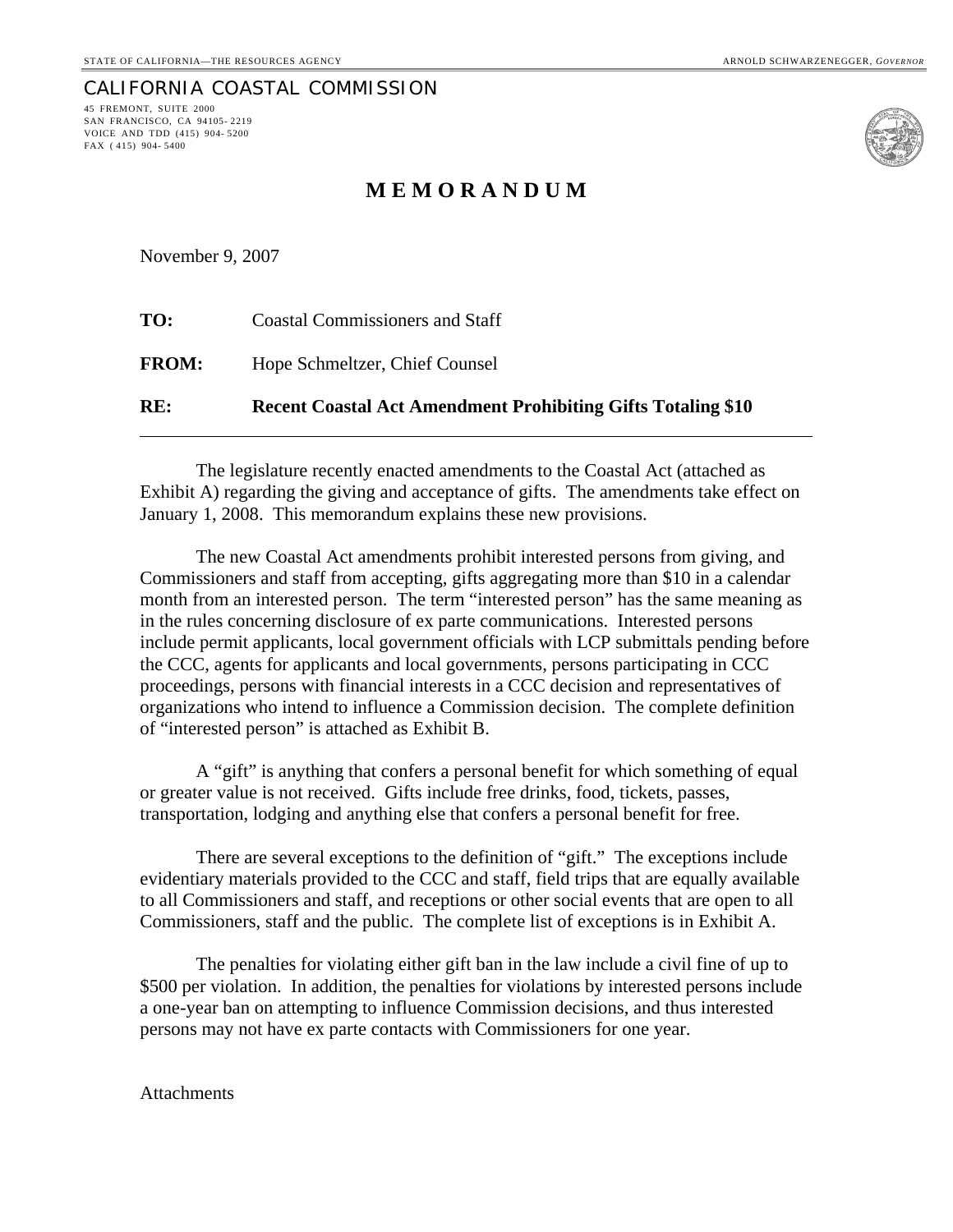## CALIFORNIA COASTAL COMMISSION 45 FREMONT, SUITE 2000

SAN FRANCISCO, CA 94105- 2219 VOICE AND TDD (415) 904- 5200 FAX ( 415) 904- 5400



# **M E M O R A N D U M**

November 9, 2007

| RE:          | <b>Recent Coastal Act Amendment Prohibiting Gifts Totaling \$10</b> |
|--------------|---------------------------------------------------------------------|
| <b>FROM:</b> | Hope Schmeltzer, Chief Counsel                                      |
| TO:          | <b>Coastal Commissioners and Staff</b>                              |

The legislature recently enacted amendments to the Coastal Act (attached as Exhibit A) regarding the giving and acceptance of gifts. The amendments take effect on January 1, 2008. This memorandum explains these new provisions.

The new Coastal Act amendments prohibit interested persons from giving, and Commissioners and staff from accepting, gifts aggregating more than \$10 in a calendar month from an interested person. The term "interested person" has the same meaning as in the rules concerning disclosure of ex parte communications. Interested persons include permit applicants, local government officials with LCP submittals pending before the CCC, agents for applicants and local governments, persons participating in CCC proceedings, persons with financial interests in a CCC decision and representatives of organizations who intend to influence a Commission decision. The complete definition of "interested person" is attached as Exhibit B.

A "gift" is anything that confers a personal benefit for which something of equal or greater value is not received. Gifts include free drinks, food, tickets, passes, transportation, lodging and anything else that confers a personal benefit for free.

There are several exceptions to the definition of "gift." The exceptions include evidentiary materials provided to the CCC and staff, field trips that are equally available to all Commissioners and staff, and receptions or other social events that are open to all Commissioners, staff and the public. The complete list of exceptions is in Exhibit A.

The penalties for violating either gift ban in the law include a civil fine of up to \$500 per violation. In addition, the penalties for violations by interested persons include a one-year ban on attempting to influence Commission decisions, and thus interested persons may not have ex parte contacts with Commissioners for one year.

Attachments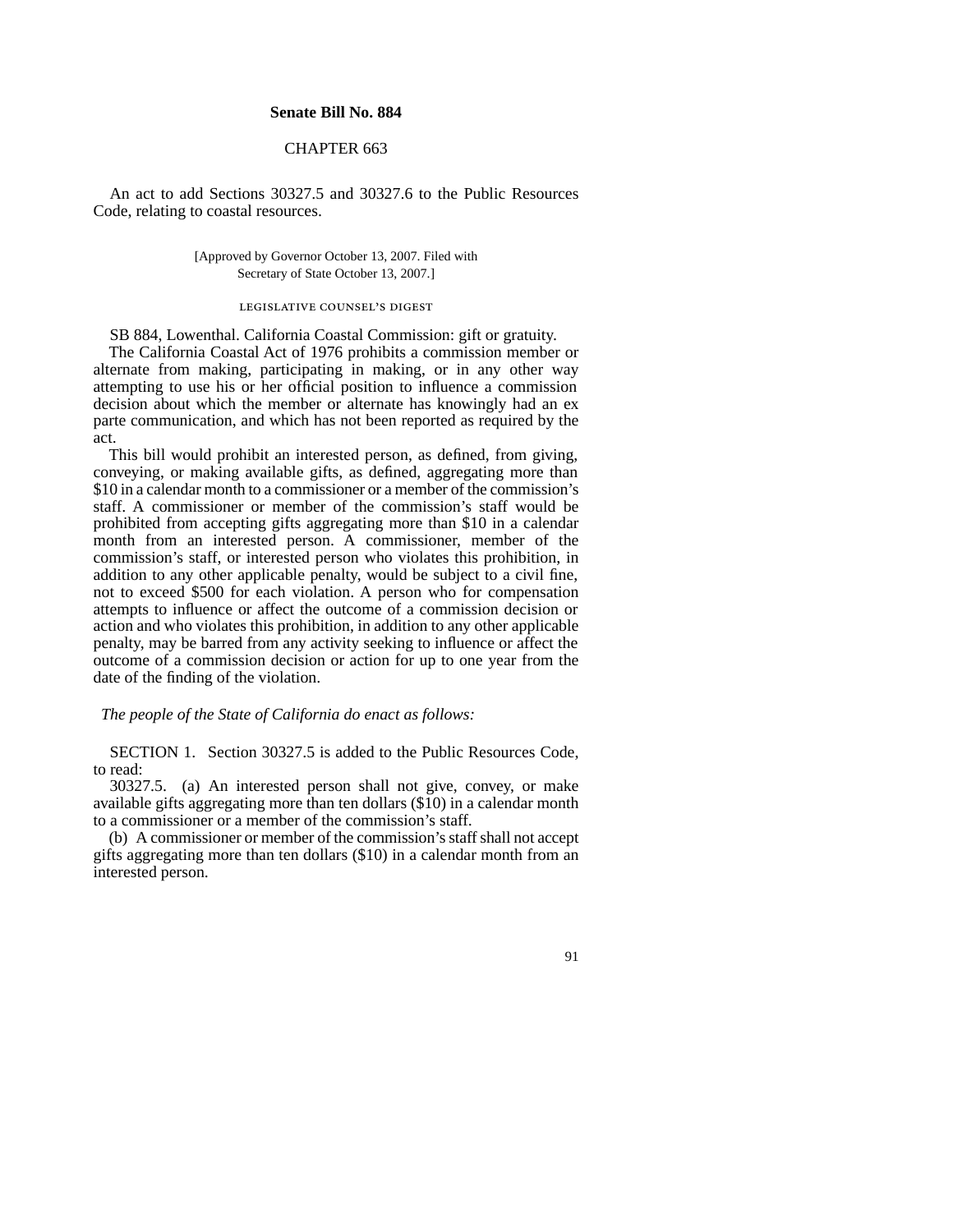### **Senate Bill No. 884**

## CHAPTER 663

An act to add Sections 30327.5 and 30327.6 to the Public Resources Code, relating to coastal resources.

> [Approved by Governor October 13, 2007. Filed with Secretary of State October 13, 2007.]

#### legislative counsel's digest

SB 884, Lowenthal. California Coastal Commission: gift or gratuity. The California Coastal Act of 1976 prohibits a commission member or alternate from making, participating in making, or in any other way attempting to use his or her official position to influence a commission decision about which the member or alternate has knowingly had an ex parte communication, and which has not been reported as required by the act.

This bill would prohibit an interested person, as defined, from giving, conveying, or making available gifts, as defined, aggregating more than \$10 in a calendar month to a commissioner or a member of the commission's staff. A commissioner or member of the commission's staff would be prohibited from accepting gifts aggregating more than \$10 in a calendar month from an interested person. A commissioner, member of the commission's staff, or interested person who violates this prohibition, in addition to any other applicable penalty, would be subject to a civil fine, not to exceed \$500 for each violation. A person who for compensation attempts to influence or affect the outcome of a commission decision or action and who violates this prohibition, in addition to any other applicable penalty, may be barred from any activity seeking to influence or affect the outcome of a commission decision or action for up to one year from the date of the finding of the violation.

#### *The people of the State of California do enact as follows:*

SECTION 1. Section 30327.5 is added to the Public Resources Code, to read:

30327.5. (a) An interested person shall not give, convey, or make available gifts aggregating more than ten dollars (\$10) in a calendar month to a commissioner or a member of the commission's staff.

(b) A commissioner or member of the commission's staff shall not accept gifts aggregating more than ten dollars (\$10) in a calendar month from an interested person.

91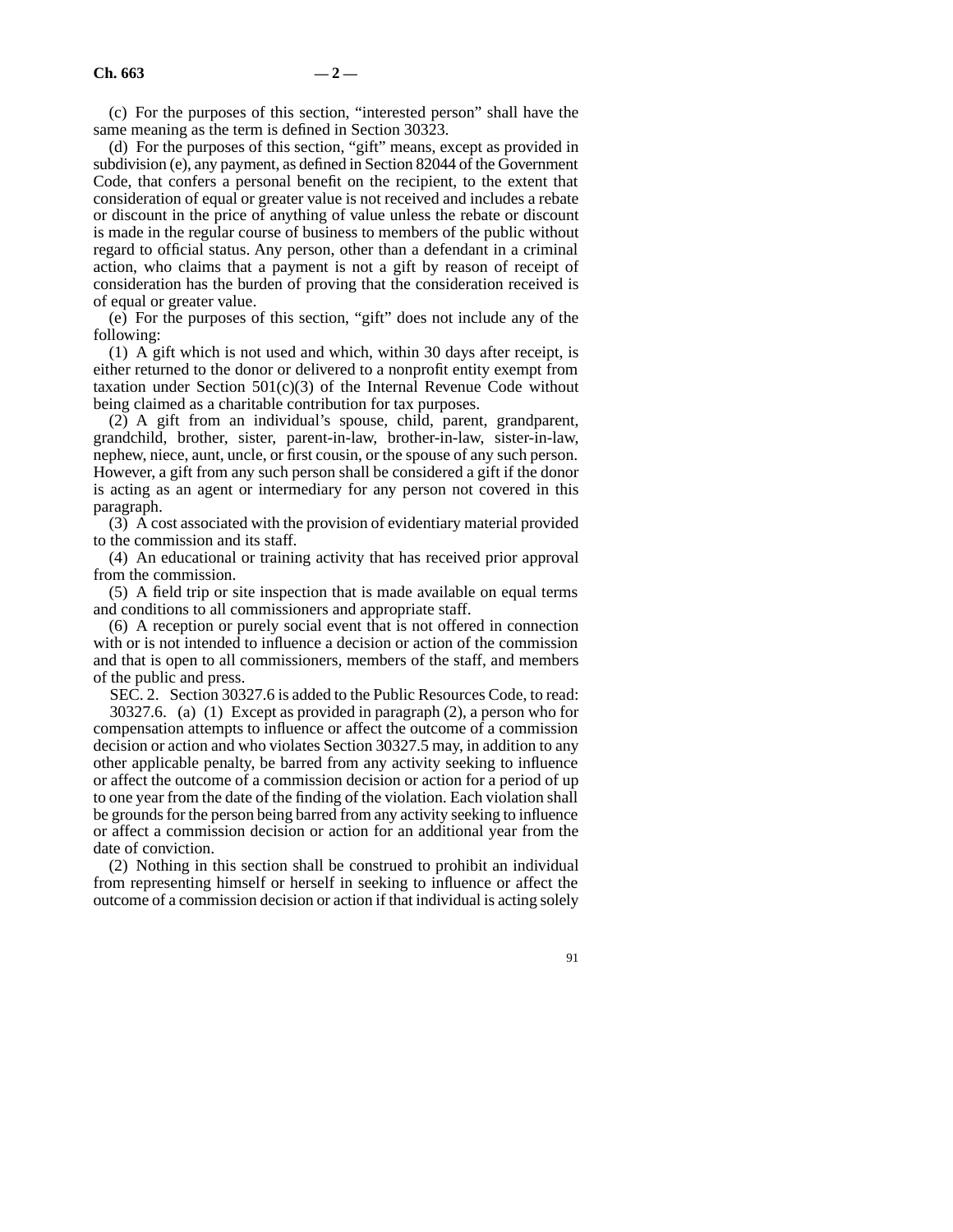(c) For the purposes of this section, "interested person" shall have the same meaning as the term is defined in Section 30323.

(d) For the purposes of this section, "gift" means, except as provided in subdivision (e), any payment, as defined in Section 82044 of the Government Code, that confers a personal benefit on the recipient, to the extent that consideration of equal or greater value is not received and includes a rebate or discount in the price of anything of value unless the rebate or discount is made in the regular course of business to members of the public without regard to official status. Any person, other than a defendant in a criminal action, who claims that a payment is not a gift by reason of receipt of consideration has the burden of proving that the consideration received is of equal or greater value.

(e) For the purposes of this section, "gift" does not include any of the following:

(1) A gift which is not used and which, within 30 days after receipt, is either returned to the donor or delivered to a nonprofit entity exempt from taxation under Section  $501(c)(3)$  of the Internal Revenue Code without being claimed as a charitable contribution for tax purposes.

(2) A gift from an individual's spouse, child, parent, grandparent, grandchild, brother, sister, parent-in-law, brother-in-law, sister-in-law, nephew, niece, aunt, uncle, or first cousin, or the spouse of any such person. However, a gift from any such person shall be considered a gift if the donor is acting as an agent or intermediary for any person not covered in this paragraph.

(3) A cost associated with the provision of evidentiary material provided to the commission and its staff.

(4) An educational or training activity that has received prior approval from the commission.

(5) A field trip or site inspection that is made available on equal terms and conditions to all commissioners and appropriate staff.

(6) A reception or purely social event that is not offered in connection with or is not intended to influence a decision or action of the commission and that is open to all commissioners, members of the staff, and members of the public and press.

SEC. 2. Section 30327.6 is added to the Public Resources Code, to read: 30327.6. (a) (1) Except as provided in paragraph (2), a person who for compensation attempts to influence or affect the outcome of a commission decision or action and who violates Section 30327.5 may, in addition to any other applicable penalty, be barred from any activity seeking to influence or affect the outcome of a commission decision or action for a period of up to one year from the date of the finding of the violation. Each violation shall be grounds for the person being barred from any activity seeking to influence or affect a commission decision or action for an additional year from the date of conviction.

(2) Nothing in this section shall be construed to prohibit an individual from representing himself or herself in seeking to influence or affect the outcome of a commission decision or action if that individual is acting solely

91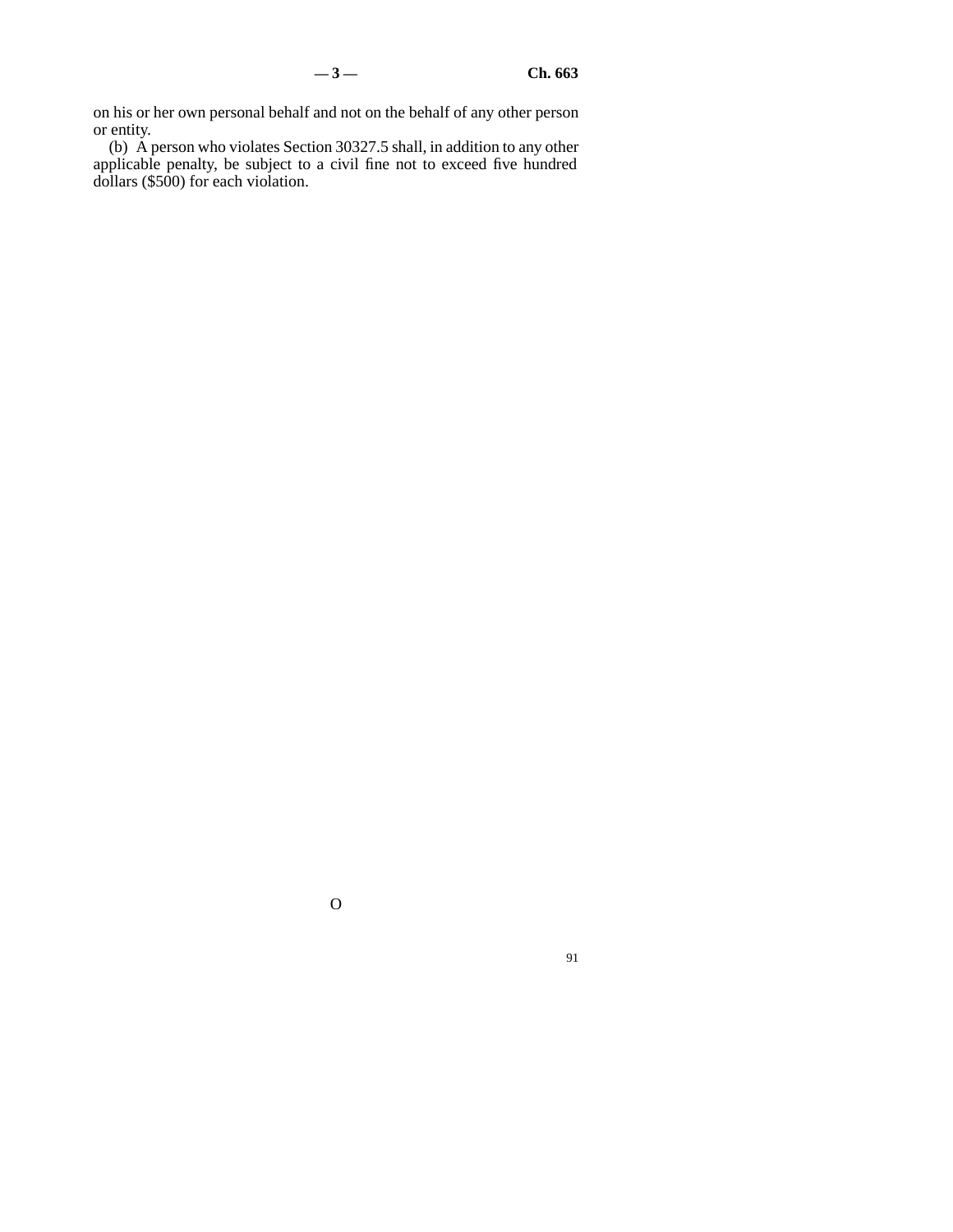on his or her own personal behalf and not on the behalf of any other person or entity.

(b) A person who violates Section 30327.5 shall, in addition to any other applicable penalty, be subject to a civil fine not to exceed five hundred dollars (\$500) for each violation.

O

91